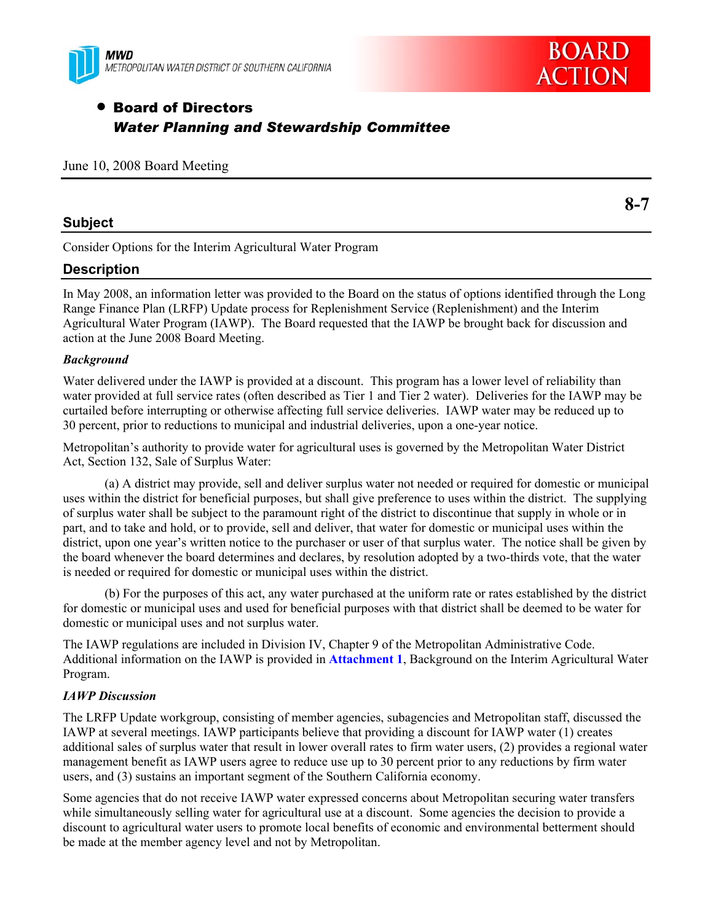



# • Board of Directors *Water Planning and Stewardship Committee*

|  |  |  |  | June 10, 2008 Board Meeting |
|--|--|--|--|-----------------------------|
|--|--|--|--|-----------------------------|

### **Subject**

**8-7** 

Consider Options for the Interim Agricultural Water Program

# **Description**

In May 2008, an information letter was provided to the Board on the status of options identified through the Long Range Finance Plan (LRFP) Update process for Replenishment Service (Replenishment) and the Interim Agricultural Water Program (IAWP). The Board requested that the IAWP be brought back for discussion and action at the June 2008 Board Meeting.

### *Background*

Water delivered under the IAWP is provided at a discount. This program has a lower level of reliability than water provided at full service rates (often described as Tier 1 and Tier 2 water). Deliveries for the IAWP may be curtailed before interrupting or otherwise affecting full service deliveries. IAWP water may be reduced up to 30 percent, prior to reductions to municipal and industrial deliveries, upon a one-year notice.

Metropolitan's authority to provide water for agricultural uses is governed by the Metropolitan Water District Act, Section 132, Sale of Surplus Water:

(a) A district may provide, sell and deliver surplus water not needed or required for domestic or municipal uses within the district for beneficial purposes, but shall give preference to uses within the district. The supplying of surplus water shall be subject to the paramount right of the district to discontinue that supply in whole or in part, and to take and hold, or to provide, sell and deliver, that water for domestic or municipal uses within the district, upon one year's written notice to the purchaser or user of that surplus water. The notice shall be given by the board whenever the board determines and declares, by resolution adopted by a two-thirds vote, that the water is needed or required for domestic or municipal uses within the district.

(b) For the purposes of this act, any water purchased at the uniform rate or rates established by the district for domestic or municipal uses and used for beneficial purposes with that district shall be deemed to be water for domestic or municipal uses and not surplus water.

The IAWP regulations are included in Division IV, Chapter 9 of the Metropolitan Administrative Code. Additional information on the IAWP is provided in **Attachment 1**, Background on the Interim Agricultural Water Program.

### *IAWP Discussion*

The LRFP Update workgroup, consisting of member agencies, subagencies and Metropolitan staff, discussed the IAWP at several meetings. IAWP participants believe that providing a discount for IAWP water (1) creates additional sales of surplus water that result in lower overall rates to firm water users, (2) provides a regional water management benefit as IAWP users agree to reduce use up to 30 percent prior to any reductions by firm water users, and (3) sustains an important segment of the Southern California economy.

Some agencies that do not receive IAWP water expressed concerns about Metropolitan securing water transfers while simultaneously selling water for agricultural use at a discount. Some agencies the decision to provide a discount to agricultural water users to promote local benefits of economic and environmental betterment should be made at the member agency level and not by Metropolitan.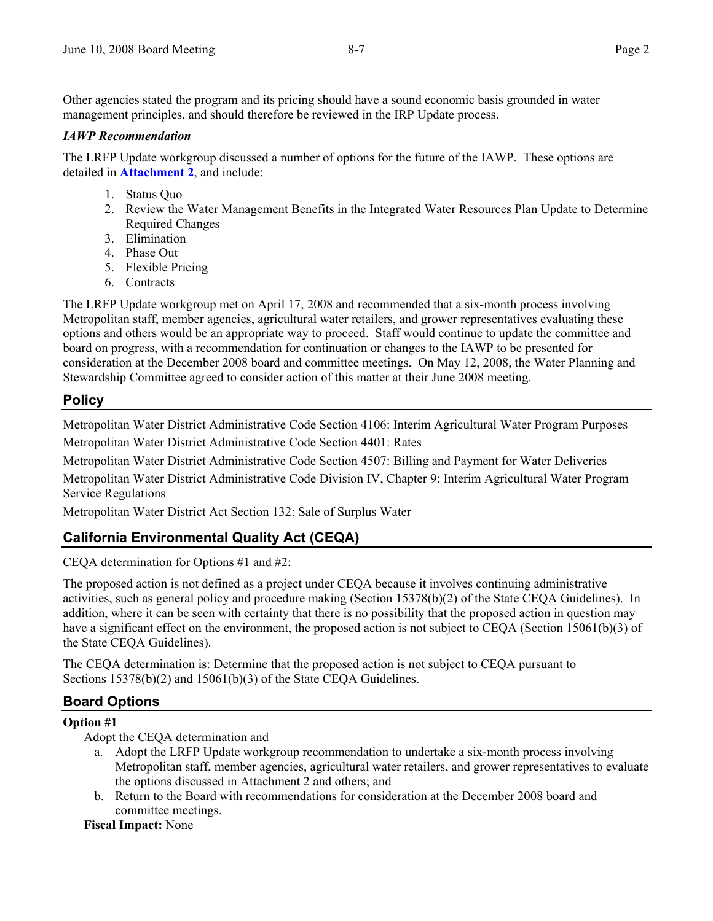Other agencies stated the program and its pricing should have a sound economic basis grounded in water management principles, and should therefore be reviewed in the IRP Update process.

### *IAWP Recommendation*

The LRFP Update workgroup discussed a number of options for the future of the IAWP. These options are detailed in **Attachment 2**, and include:

- 1. Status Quo
- 2. Review the Water Management Benefits in the Integrated Water Resources Plan Update to Determine Required Changes
- 3. Elimination
- 4. Phase Out
- 5. Flexible Pricing
- 6. Contracts

The LRFP Update workgroup met on April 17, 2008 and recommended that a six-month process involving Metropolitan staff, member agencies, agricultural water retailers, and grower representatives evaluating these options and others would be an appropriate way to proceed. Staff would continue to update the committee and board on progress, with a recommendation for continuation or changes to the IAWP to be presented for consideration at the December 2008 board and committee meetings. On May 12, 2008, the Water Planning and Stewardship Committee agreed to consider action of this matter at their June 2008 meeting.

### **Policy**

Metropolitan Water District Administrative Code Section 4106: Interim Agricultural Water Program Purposes Metropolitan Water District Administrative Code Section 4401: Rates

Metropolitan Water District Administrative Code Section 4507: Billing and Payment for Water Deliveries

Metropolitan Water District Administrative Code Division IV, Chapter 9: Interim Agricultural Water Program Service Regulations

Metropolitan Water District Act Section 132: Sale of Surplus Water

# **California Environmental Quality Act (CEQA)**

CEQA determination for Options #1 and #2:

The proposed action is not defined as a project under CEQA because it involves continuing administrative activities, such as general policy and procedure making (Section 15378(b)(2) of the State CEQA Guidelines). In addition, where it can be seen with certainty that there is no possibility that the proposed action in question may have a significant effect on the environment, the proposed action is not subject to CEQA (Section 15061(b)(3) of the State CEQA Guidelines).

The CEQA determination is: Determine that the proposed action is not subject to CEQA pursuant to Sections 15378(b)(2) and 15061(b)(3) of the State CEOA Guidelines.

# **Board Options**

#### **Option #1**

Adopt the CEQA determination and

- a. Adopt the LRFP Update workgroup recommendation to undertake a six-month process involving Metropolitan staff, member agencies, agricultural water retailers, and grower representatives to evaluate the options discussed in Attachment 2 and others; and
- b. Return to the Board with recommendations for consideration at the December 2008 board and committee meetings.

#### **Fiscal Impact:** None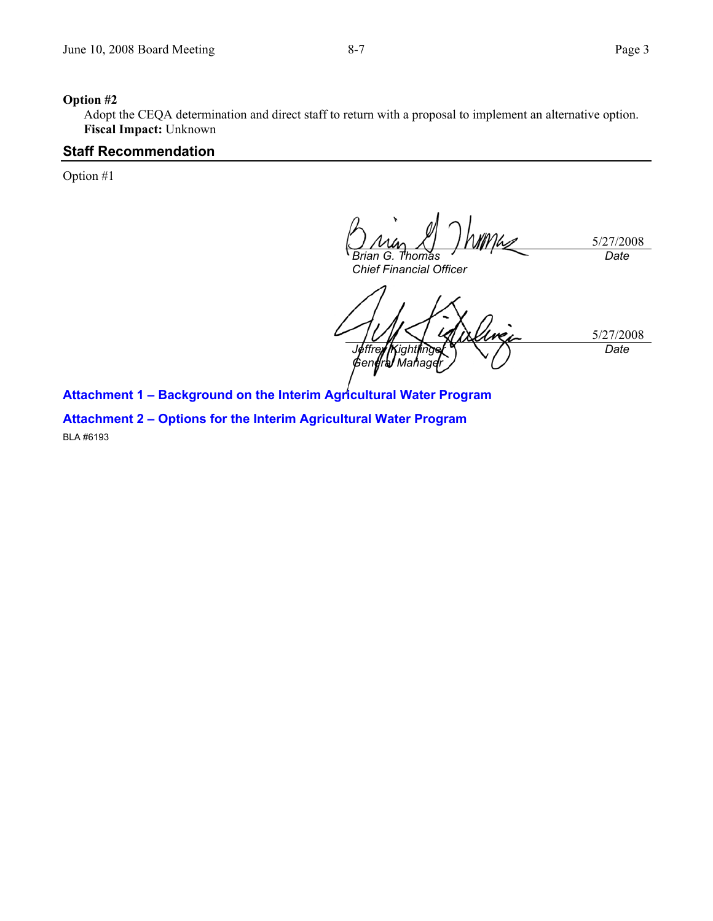#### **Option #2**

Adopt the CEQA determination and direct staff to return with a proposal to implement an alternative option. **Fiscal Impact:** Unknown

#### **Staff Recommendation**

Option #1

5/27/2008 *Brian G. Thomas Chief Financial Officer Date* 

5/27/2008 *Jeffrey* /Kightlinger *General Manager Date* 

**Attachment 1 – Background on the Interim Agricultural Water Program** 

**Attachment 2 – Options for the Interim Agricultural Water Program**  BLA #6193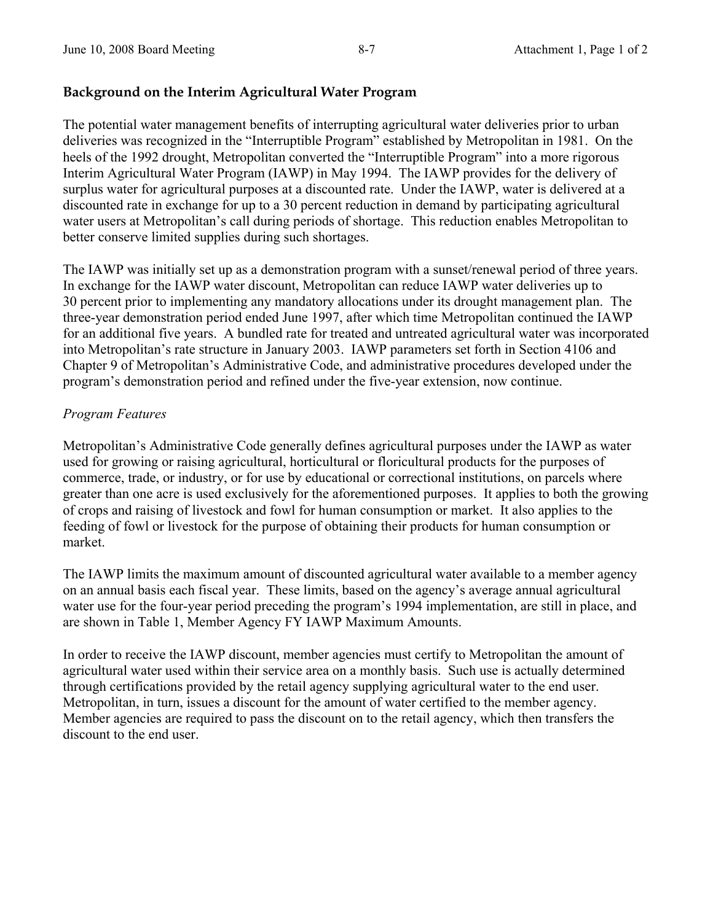# **Background on the Interim Agricultural Water Program**

The potential water management benefits of interrupting agricultural water deliveries prior to urban deliveries was recognized in the "Interruptible Program" established by Metropolitan in 1981. On the heels of the 1992 drought, Metropolitan converted the "Interruptible Program" into a more rigorous Interim Agricultural Water Program (IAWP) in May 1994. The IAWP provides for the delivery of surplus water for agricultural purposes at a discounted rate. Under the IAWP, water is delivered at a discounted rate in exchange for up to a 30 percent reduction in demand by participating agricultural water users at Metropolitan's call during periods of shortage. This reduction enables Metropolitan to better conserve limited supplies during such shortages.

The IAWP was initially set up as a demonstration program with a sunset/renewal period of three years. In exchange for the IAWP water discount, Metropolitan can reduce IAWP water deliveries up to 30 percent prior to implementing any mandatory allocations under its drought management plan. The three-year demonstration period ended June 1997, after which time Metropolitan continued the IAWP for an additional five years. A bundled rate for treated and untreated agricultural water was incorporated into Metropolitan's rate structure in January 2003. IAWP parameters set forth in Section 4106 and Chapter 9 of Metropolitan's Administrative Code, and administrative procedures developed under the program's demonstration period and refined under the five-year extension, now continue.

# *Program Features*

Metropolitan's Administrative Code generally defines agricultural purposes under the IAWP as water used for growing or raising agricultural, horticultural or floricultural products for the purposes of commerce, trade, or industry, or for use by educational or correctional institutions, on parcels where greater than one acre is used exclusively for the aforementioned purposes. It applies to both the growing of crops and raising of livestock and fowl for human consumption or market. It also applies to the feeding of fowl or livestock for the purpose of obtaining their products for human consumption or market.

The IAWP limits the maximum amount of discounted agricultural water available to a member agency on an annual basis each fiscal year. These limits, based on the agency's average annual agricultural water use for the four-year period preceding the program's 1994 implementation, are still in place, and are shown in Table 1, Member Agency FY IAWP Maximum Amounts.

In order to receive the IAWP discount, member agencies must certify to Metropolitan the amount of agricultural water used within their service area on a monthly basis. Such use is actually determined through certifications provided by the retail agency supplying agricultural water to the end user. Metropolitan, in turn, issues a discount for the amount of water certified to the member agency. Member agencies are required to pass the discount on to the retail agency, which then transfers the discount to the end user.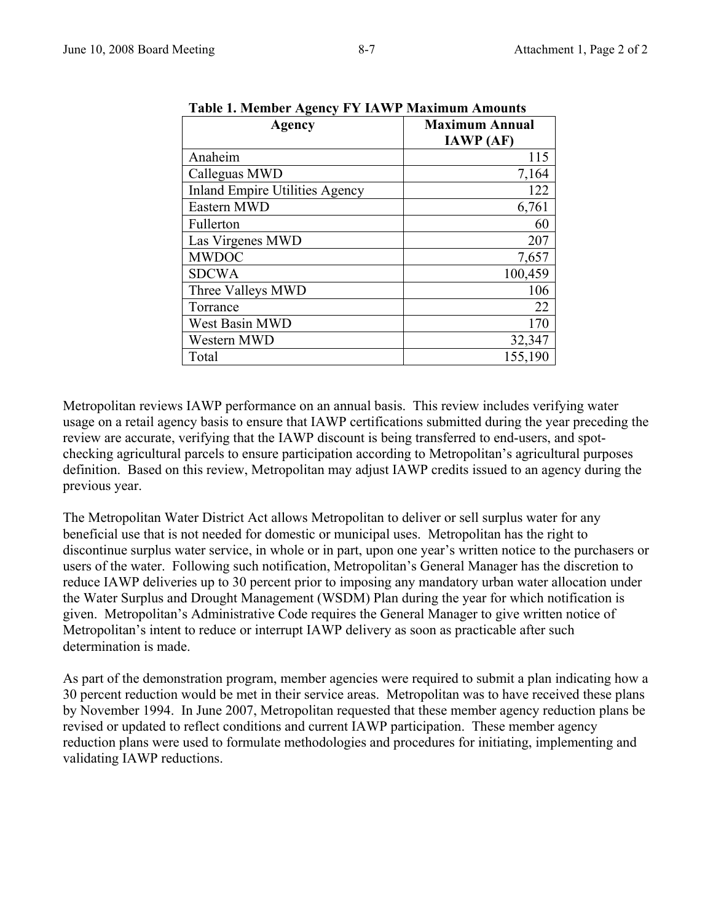| Table 1. Member Agency F Y TAWF Maximum Amounts |                                           |  |  |  |
|-------------------------------------------------|-------------------------------------------|--|--|--|
| <b>Agency</b>                                   | <b>Maximum Annual</b><br><b>IAWP</b> (AF) |  |  |  |
| Anaheim                                         | 115                                       |  |  |  |
| Calleguas MWD                                   | 7,164                                     |  |  |  |
| <b>Inland Empire Utilities Agency</b>           | 122                                       |  |  |  |
| Eastern MWD                                     | 6,761                                     |  |  |  |
| Fullerton                                       | 60                                        |  |  |  |
| Las Virgenes MWD                                | 207                                       |  |  |  |
| <b>MWDOC</b>                                    | 7,657                                     |  |  |  |
| <b>SDCWA</b>                                    | 100,459                                   |  |  |  |
| Three Valleys MWD                               | 106                                       |  |  |  |
| Torrance                                        | 22                                        |  |  |  |
| West Basin MWD                                  | 170                                       |  |  |  |
| Western MWD                                     | 32,347                                    |  |  |  |
| Total                                           | 155,190                                   |  |  |  |

**Table 1. Member Agency FY IAWP Maximum Amounts** 

Metropolitan reviews IAWP performance on an annual basis. This review includes verifying water usage on a retail agency basis to ensure that IAWP certifications submitted during the year preceding the review are accurate, verifying that the IAWP discount is being transferred to end-users, and spotchecking agricultural parcels to ensure participation according to Metropolitan's agricultural purposes definition. Based on this review, Metropolitan may adjust IAWP credits issued to an agency during the previous year.

The Metropolitan Water District Act allows Metropolitan to deliver or sell surplus water for any beneficial use that is not needed for domestic or municipal uses. Metropolitan has the right to discontinue surplus water service, in whole or in part, upon one year's written notice to the purchasers or users of the water. Following such notification, Metropolitan's General Manager has the discretion to reduce IAWP deliveries up to 30 percent prior to imposing any mandatory urban water allocation under the Water Surplus and Drought Management (WSDM) Plan during the year for which notification is given. Metropolitan's Administrative Code requires the General Manager to give written notice of Metropolitan's intent to reduce or interrupt IAWP delivery as soon as practicable after such determination is made.

As part of the demonstration program, member agencies were required to submit a plan indicating how a 30 percent reduction would be met in their service areas. Metropolitan was to have received these plans by November 1994. In June 2007, Metropolitan requested that these member agency reduction plans be revised or updated to reflect conditions and current IAWP participation. These member agency reduction plans were used to formulate methodologies and procedures for initiating, implementing and validating IAWP reductions.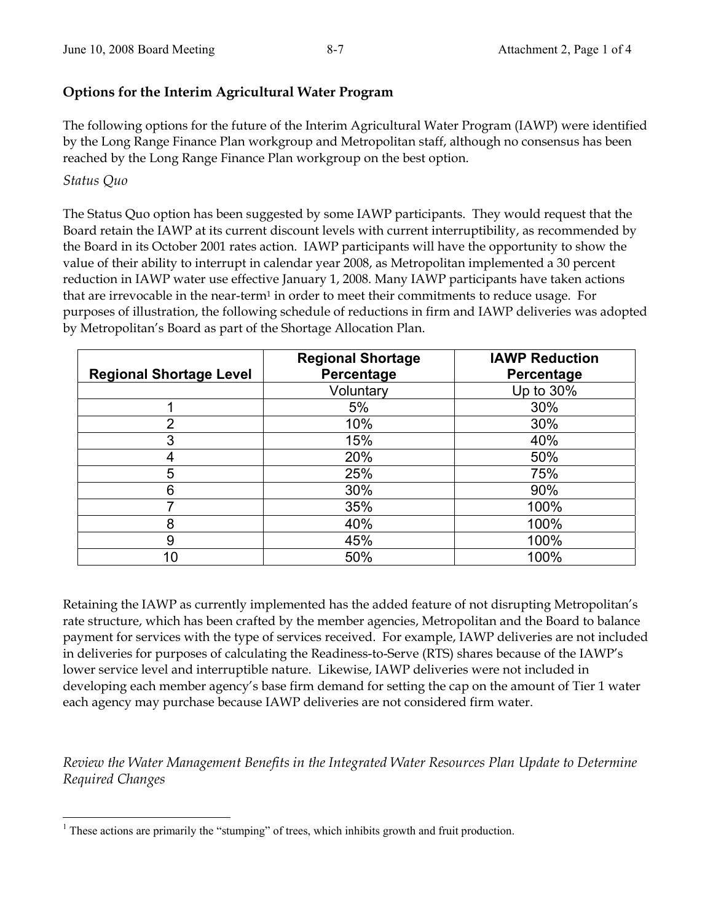# **Options for the Interim Agricultural Water Program**

The following options for the future of the Interim Agricultural Water Program (IAWP) were identified by the Long Range Finance Plan workgroup and Metropolitan staff, although no consensus has been reached by the Long Range Finance Plan workgroup on the best option.

*Status Quo* 

The Status Quo option has been suggested by some IAWP participants. They would request that the Board retain the IAWP at its current discount levels with current interruptibility, as recommended by the Board in its October 2001 rates action. IAWP participants will have the opportunity to show the value of their ability to interrupt in calendar year 2008, as Metropolitan implemented a 30 percent reduction in IAWP water use effective January 1, 2008. Many IAWP participants have taken actions that are irrevocable in the near-term<sup>1</sup> in order to meet their commitments to reduce usage. For purposes of illustration, the following schedule of reductions in firm and IAWP deliveries was adopted by Metropolitan's Board as part of the Shortage Allocation Plan.

|                                | <b>Regional Shortage</b> | <b>IAWP Reduction</b> |
|--------------------------------|--------------------------|-----------------------|
| <b>Regional Shortage Level</b> | Percentage               | Percentage            |
|                                | Voluntary                | Up to 30%             |
|                                | 5%                       | 30%                   |
| $\overline{2}$                 | 10%                      | 30%                   |
| 3                              | 15%                      | 40%                   |
| 4                              | 20%                      | 50%                   |
| 5                              | 25%                      | 75%                   |
| 6                              | 30%                      | 90%                   |
| ⇁                              | 35%                      | 100%                  |
| 8                              | 40%                      | 100%                  |
| 9                              | 45%                      | 100%                  |
| 10                             | 50%                      | 100%                  |

Retaining the IAWP as currently implemented has the added feature of not disrupting Metropolitan's rate structure, which has been crafted by the member agencies, Metropolitan and the Board to balance payment for services with the type of services received. For example, IAWP deliveries are not included in deliveries for purposes of calculating the Readiness-to-Serve (RTS) shares because of the IAWP's lower service level and interruptible nature. Likewise, IAWP deliveries were not included in developing each member agency's base firm demand for setting the cap on the amount of Tier 1 water each agency may purchase because IAWP deliveries are not considered firm water.

*Review the Water Management Benefits in the Integrated Water Resources Plan Update to Determine Required Changes* 

 $\overline{a}$  $<sup>1</sup>$  These actions are primarily the "stumping" of trees, which inhibits growth and fruit production.</sup>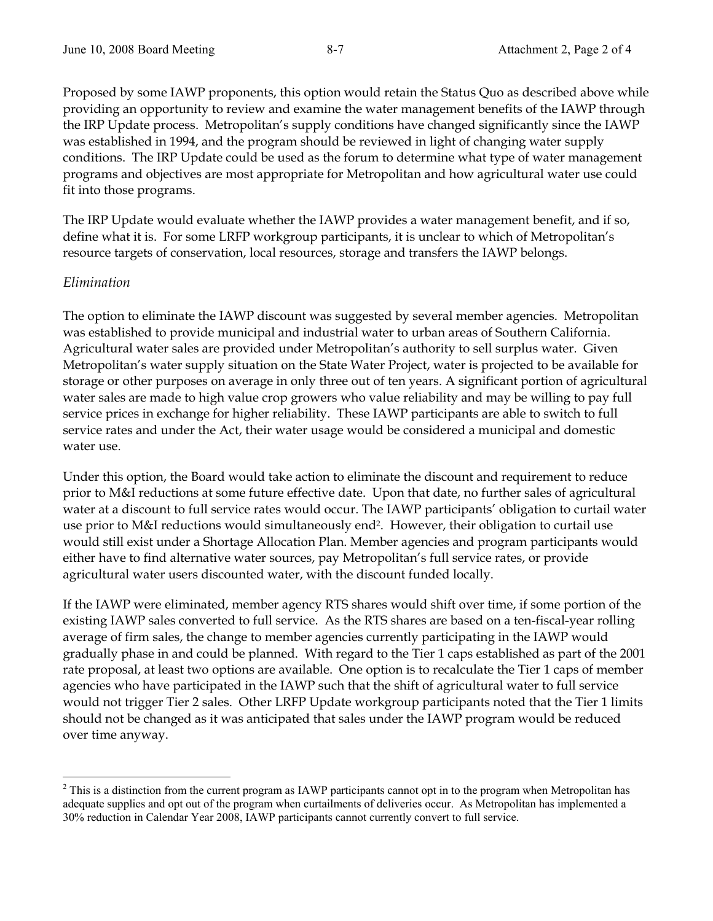Proposed by some IAWP proponents, this option would retain the Status Quo as described above while providing an opportunity to review and examine the water management benefits of the IAWP through the IRP Update process. Metropolitan's supply conditions have changed significantly since the IAWP was established in 1994, and the program should be reviewed in light of changing water supply conditions. The IRP Update could be used as the forum to determine what type of water management programs and objectives are most appropriate for Metropolitan and how agricultural water use could fit into those programs.

The IRP Update would evaluate whether the IAWP provides a water management benefit, and if so, define what it is. For some LRFP workgroup participants, it is unclear to which of Metropolitan's resource targets of conservation, local resources, storage and transfers the IAWP belongs.

# *Elimination*

 $\overline{a}$ 

The option to eliminate the IAWP discount was suggested by several member agencies. Metropolitan was established to provide municipal and industrial water to urban areas of Southern California. Agricultural water sales are provided under Metropolitan's authority to sell surplus water. Given Metropolitan's water supply situation on the State Water Project, water is projected to be available for storage or other purposes on average in only three out of ten years. A significant portion of agricultural water sales are made to high value crop growers who value reliability and may be willing to pay full service prices in exchange for higher reliability. These IAWP participants are able to switch to full service rates and under the Act, their water usage would be considered a municipal and domestic water use.

Under this option, the Board would take action to eliminate the discount and requirement to reduce prior to M&I reductions at some future effective date. Upon that date, no further sales of agricultural water at a discount to full service rates would occur. The IAWP participants' obligation to curtail water use prior to M&I reductions would simultaneously end2. However, their obligation to curtail use would still exist under a Shortage Allocation Plan. Member agencies and program participants would either have to find alternative water sources, pay Metropolitan's full service rates, or provide agricultural water users discounted water, with the discount funded locally.

If the IAWP were eliminated, member agency RTS shares would shift over time, if some portion of the existing IAWP sales converted to full service. As the RTS shares are based on a ten-fiscal-year rolling average of firm sales, the change to member agencies currently participating in the IAWP would gradually phase in and could be planned. With regard to the Tier 1 caps established as part of the 2001 rate proposal, at least two options are available. One option is to recalculate the Tier 1 caps of member agencies who have participated in the IAWP such that the shift of agricultural water to full service would not trigger Tier 2 sales. Other LRFP Update workgroup participants noted that the Tier 1 limits should not be changed as it was anticipated that sales under the IAWP program would be reduced over time anyway.

 $2^2$  This is a distinction from the current program as IAWP participants cannot opt in to the program when Metropolitan has adequate supplies and opt out of the program when curtailments of deliveries occur. As Metropolitan has implemented a 30% reduction in Calendar Year 2008, IAWP participants cannot currently convert to full service.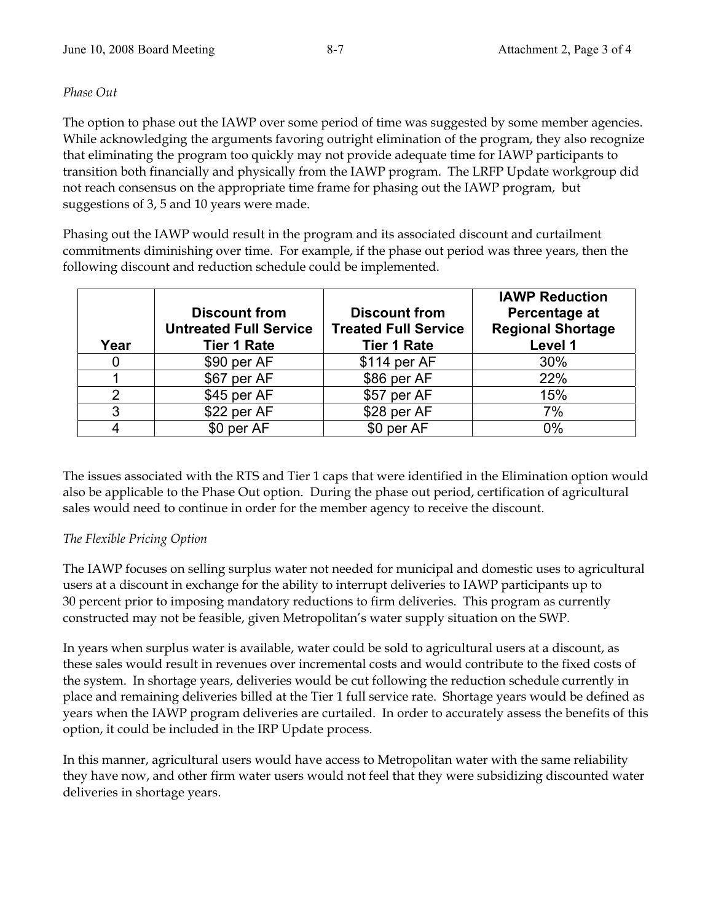### *Phase Out*

The option to phase out the IAWP over some period of time was suggested by some member agencies. While acknowledging the arguments favoring outright elimination of the program, they also recognize that eliminating the program too quickly may not provide adequate time for IAWP participants to transition both financially and physically from the IAWP program. The LRFP Update workgroup did not reach consensus on the appropriate time frame for phasing out the IAWP program, but suggestions of 3, 5 and 10 years were made.

Phasing out the IAWP would result in the program and its associated discount and curtailment commitments diminishing over time. For example, if the phase out period was three years, then the following discount and reduction schedule could be implemented.

| Year          | <b>Discount from</b><br><b>Untreated Full Service</b><br><b>Tier 1 Rate</b> | <b>Discount from</b><br><b>Treated Full Service</b><br><b>Tier 1 Rate</b> | <b>IAWP Reduction</b><br>Percentage at<br><b>Regional Shortage</b><br>Level 1 |
|---------------|-----------------------------------------------------------------------------|---------------------------------------------------------------------------|-------------------------------------------------------------------------------|
| 0             | \$90 per AF                                                                 | $$114$ per AF                                                             | 30%                                                                           |
|               | \$67 per AF                                                                 | \$86 per AF                                                               | 22%                                                                           |
| $\mathcal{P}$ | \$45 per AF                                                                 | \$57 per AF                                                               | 15%                                                                           |
| 3             | \$22 per AF                                                                 | \$28 per AF                                                               | 7%                                                                            |
|               | \$0 per AF                                                                  | \$0 per AF                                                                | $0\%$                                                                         |

The issues associated with the RTS and Tier 1 caps that were identified in the Elimination option would also be applicable to the Phase Out option. During the phase out period, certification of agricultural sales would need to continue in order for the member agency to receive the discount.

# *The Flexible Pricing Option*

The IAWP focuses on selling surplus water not needed for municipal and domestic uses to agricultural users at a discount in exchange for the ability to interrupt deliveries to IAWP participants up to 30 percent prior to imposing mandatory reductions to firm deliveries. This program as currently constructed may not be feasible, given Metropolitan's water supply situation on the SWP.

In years when surplus water is available, water could be sold to agricultural users at a discount, as these sales would result in revenues over incremental costs and would contribute to the fixed costs of the system. In shortage years, deliveries would be cut following the reduction schedule currently in place and remaining deliveries billed at the Tier 1 full service rate. Shortage years would be defined as years when the IAWP program deliveries are curtailed. In order to accurately assess the benefits of this option, it could be included in the IRP Update process.

In this manner, agricultural users would have access to Metropolitan water with the same reliability they have now, and other firm water users would not feel that they were subsidizing discounted water deliveries in shortage years.